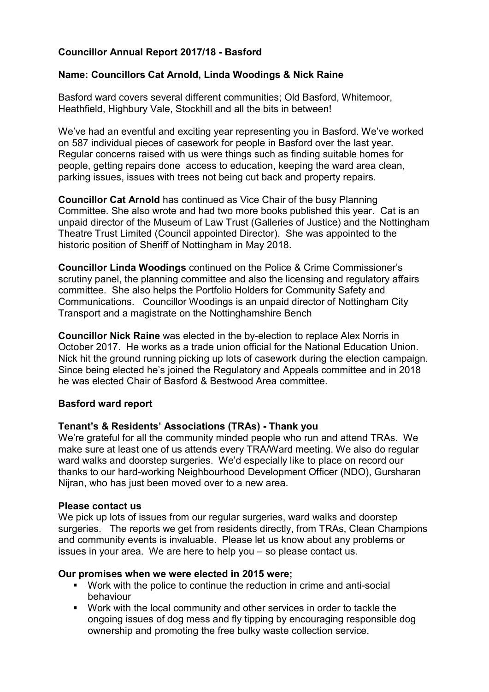# Councillor Annual Report 2017/18 - Basford

### Name: Councillors Cat Arnold, Linda Woodings & Nick Raine

Basford ward covers several different communities; Old Basford, Whitemoor, Heathfield, Highbury Vale, Stockhill and all the bits in between!

We've had an eventful and exciting year representing you in Basford. We've worked on 587 individual pieces of casework for people in Basford over the last year. Regular concerns raised with us were things such as finding suitable homes for people, getting repairs done access to education, keeping the ward area clean, parking issues, issues with trees not being cut back and property repairs.

Councillor Cat Arnold has continued as Vice Chair of the busy Planning Committee. She also wrote and had two more books published this year. Cat is an unpaid director of the Museum of Law Trust (Galleries of Justice) and the Nottingham Theatre Trust Limited (Council appointed Director). She was appointed to the historic position of Sheriff of Nottingham in May 2018.

Councillor Linda Woodings continued on the Police & Crime Commissioner's scrutiny panel, the planning committee and also the licensing and regulatory affairs committee. She also helps the Portfolio Holders for Community Safety and Communications. Councillor Woodings is an unpaid director of Nottingham City Transport and a magistrate on the Nottinghamshire Bench

Councillor Nick Raine was elected in the by-election to replace Alex Norris in October 2017. He works as a trade union official for the National Education Union. Nick hit the ground running picking up lots of casework during the election campaign. Since being elected he's joined the Regulatory and Appeals committee and in 2018 he was elected Chair of Basford & Bestwood Area committee.

#### Basford ward report

#### Tenant's & Residents' Associations (TRAs) - Thank you

We're grateful for all the community minded people who run and attend TRAs. We make sure at least one of us attends every TRA/Ward meeting. We also do regular ward walks and doorstep surgeries. We'd especially like to place on record our thanks to our hard-working Neighbourhood Development Officer (NDO), Gursharan Nijran, who has just been moved over to a new area.

#### Please contact us

We pick up lots of issues from our regular surgeries, ward walks and doorstep surgeries. The reports we get from residents directly, from TRAs, Clean Champions and community events is invaluable. Please let us know about any problems or issues in your area. We are here to help you – so please contact us.

#### Our promises when we were elected in 2015 were;

- Work with the police to continue the reduction in crime and anti-social behaviour
- Work with the local community and other services in order to tackle the ongoing issues of dog mess and fly tipping by encouraging responsible dog ownership and promoting the free bulky waste collection service.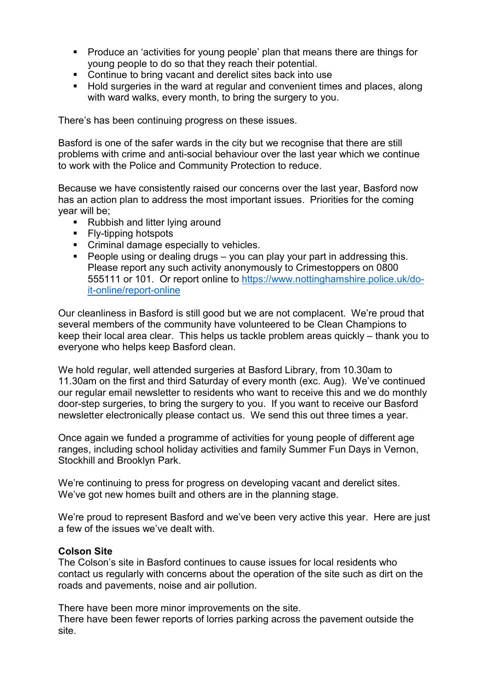- Produce an 'activities for young people' plan that means there are things for young people to do so that they reach their potential.
- Continue to bring vacant and derelict sites back into use
- **Hold surgeries in the ward at regular and convenient times and places, along** with ward walks, every month, to bring the surgery to you.

There's has been continuing progress on these issues.

Basford is one of the safer wards in the city but we recognise that there are still problems with crime and anti-social behaviour over the last year which we continue to work with the Police and Community Protection to reduce.

Because we have consistently raised our concerns over the last year, Basford now has an action plan to address the most important issues. Priorities for the coming year will be;

- Rubbish and litter lying around
- **Fly-tipping hotspots**
- **Criminal damage especially to vehicles.**
- **People using or dealing drugs you can play your part in addressing this.** Please report any such activity anonymously to Crimestoppers on 0800 555111 or 101. Or report online to https://www.nottinghamshire.police.uk/doit-online/report-online

Our cleanliness in Basford is still good but we are not complacent. We're proud that several members of the community have volunteered to be Clean Champions to keep their local area clear. This helps us tackle problem areas quickly – thank you to everyone who helps keep Basford clean.

We hold regular, well attended surgeries at Basford Library, from 10.30am to 11.30am on the first and third Saturday of every month (exc. Aug). We've continued our regular email newsletter to residents who want to receive this and we do monthly door-step surgeries, to bring the surgery to you. If you want to receive our Basford newsletter electronically please contact us. We send this out three times a year.

Once again we funded a programme of activities for young people of different age ranges, including school holiday activities and family Summer Fun Days in Vernon, Stockhill and Brooklyn Park.

We're continuing to press for progress on developing vacant and derelict sites. We've got new homes built and others are in the planning stage.

We're proud to represent Basford and we've been very active this year. Here are just a few of the issues we've dealt with.

#### Colson Site

The Colson's site in Basford continues to cause issues for local residents who contact us regularly with concerns about the operation of the site such as dirt on the roads and pavements, noise and air pollution.

There have been more minor improvements on the site.

There have been fewer reports of lorries parking across the pavement outside the site.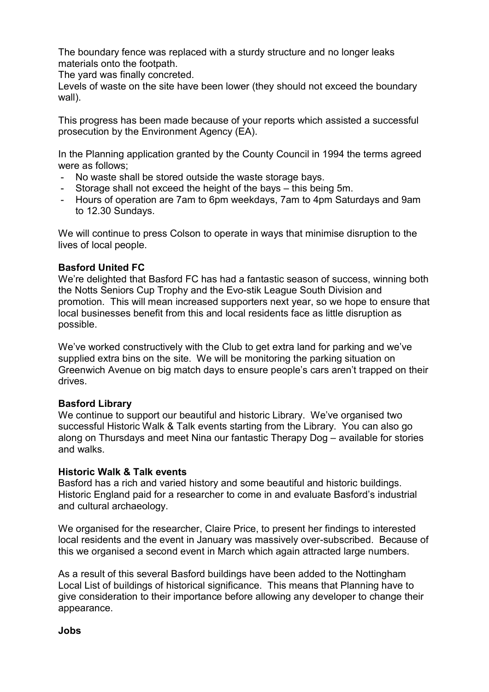The boundary fence was replaced with a sturdy structure and no longer leaks materials onto the footpath.

The yard was finally concreted.

Levels of waste on the site have been lower (they should not exceed the boundary wall).

This progress has been made because of your reports which assisted a successful prosecution by the Environment Agency (EA).

In the Planning application granted by the County Council in 1994 the terms agreed were as follows;

- No waste shall be stored outside the waste storage bays.
- Storage shall not exceed the height of the bays this being 5m.
- Hours of operation are 7am to 6pm weekdays, 7am to 4pm Saturdays and 9am to 12.30 Sundays.

We will continue to press Colson to operate in ways that minimise disruption to the lives of local people.

### Basford United FC

We're delighted that Basford FC has had a fantastic season of success, winning both the Notts Seniors Cup Trophy and the Evo-stik League South Division and promotion. This will mean increased supporters next year, so we hope to ensure that local businesses benefit from this and local residents face as little disruption as possible.

We've worked constructively with the Club to get extra land for parking and we've supplied extra bins on the site. We will be monitoring the parking situation on Greenwich Avenue on big match days to ensure people's cars aren't trapped on their drives.

#### Basford Library

We continue to support our beautiful and historic Library. We've organised two successful Historic Walk & Talk events starting from the Library. You can also go along on Thursdays and meet Nina our fantastic Therapy Dog – available for stories and walks.

#### Historic Walk & Talk events

Basford has a rich and varied history and some beautiful and historic buildings. Historic England paid for a researcher to come in and evaluate Basford's industrial and cultural archaeology.

We organised for the researcher, Claire Price, to present her findings to interested local residents and the event in January was massively over-subscribed. Because of this we organised a second event in March which again attracted large numbers.

As a result of this several Basford buildings have been added to the Nottingham Local List of buildings of historical significance. This means that Planning have to give consideration to their importance before allowing any developer to change their appearance.

Jobs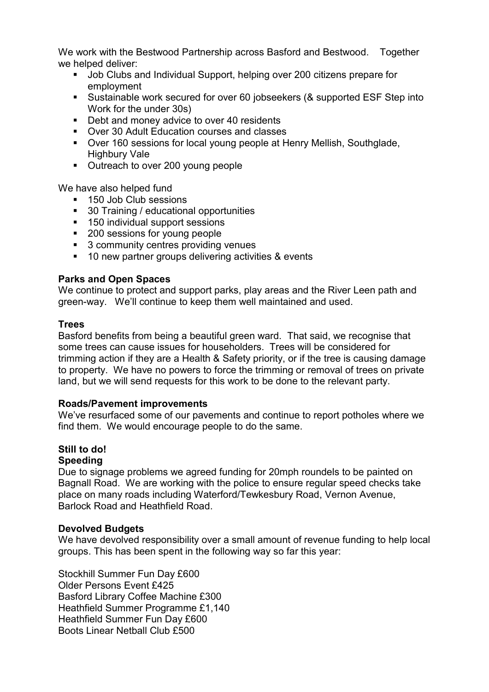We work with the Bestwood Partnership across Basford and Bestwood. Together we helped deliver:

- **Job Clubs and Individual Support, helping over 200 citizens prepare for** employment
- Sustainable work secured for over 60 jobseekers (& supported ESF Step into Work for the under 30s)
- Debt and money advice to over 40 residents
- Over 30 Adult Education courses and classes
- Over 160 sessions for local young people at Henry Mellish, Southglade, Highbury Vale
- Outreach to over 200 young people

We have also helped fund

- 150 Job Club sessions
- 30 Training / educational opportunities
- 150 individual support sessions
- 200 sessions for young people
- **3 community centres providing venues**
- 10 new partner groups delivering activities & events

# Parks and Open Spaces

We continue to protect and support parks, play areas and the River Leen path and green-way. We'll continue to keep them well maintained and used.

# **Trees**

Basford benefits from being a beautiful green ward. That said, we recognise that some trees can cause issues for householders. Trees will be considered for trimming action if they are a Health & Safety priority, or if the tree is causing damage to property. We have no powers to force the trimming or removal of trees on private land, but we will send requests for this work to be done to the relevant party.

# Roads/Pavement improvements

We've resurfaced some of our pavements and continue to report potholes where we find them. We would encourage people to do the same.

# Still to do!

# Speeding

Due to signage problems we agreed funding for 20mph roundels to be painted on Bagnall Road. We are working with the police to ensure regular speed checks take place on many roads including Waterford/Tewkesbury Road, Vernon Avenue, Barlock Road and Heathfield Road.

# Devolved Budgets

We have devolved responsibility over a small amount of revenue funding to help local groups. This has been spent in the following way so far this year:

Stockhill Summer Fun Day £600 Older Persons Event £425 Basford Library Coffee Machine £300 Heathfield Summer Programme £1,140 Heathfield Summer Fun Day £600 Boots Linear Netball Club £500